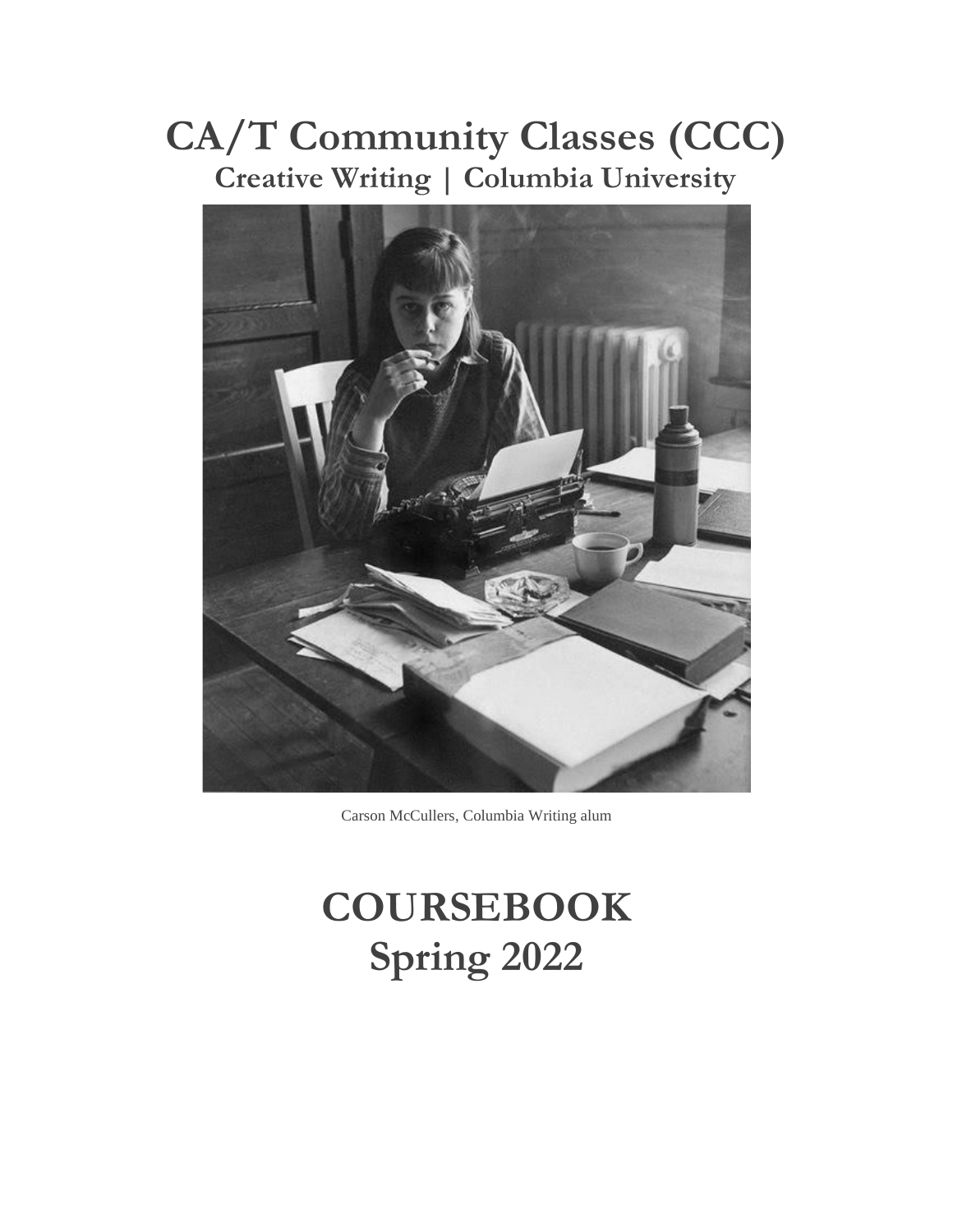# **CA/T Community Classes (CCC) Creative Writing | Columbia University**



Carson McCullers, Columbia Writing alum

# **COURSEBOOK Spring 2022**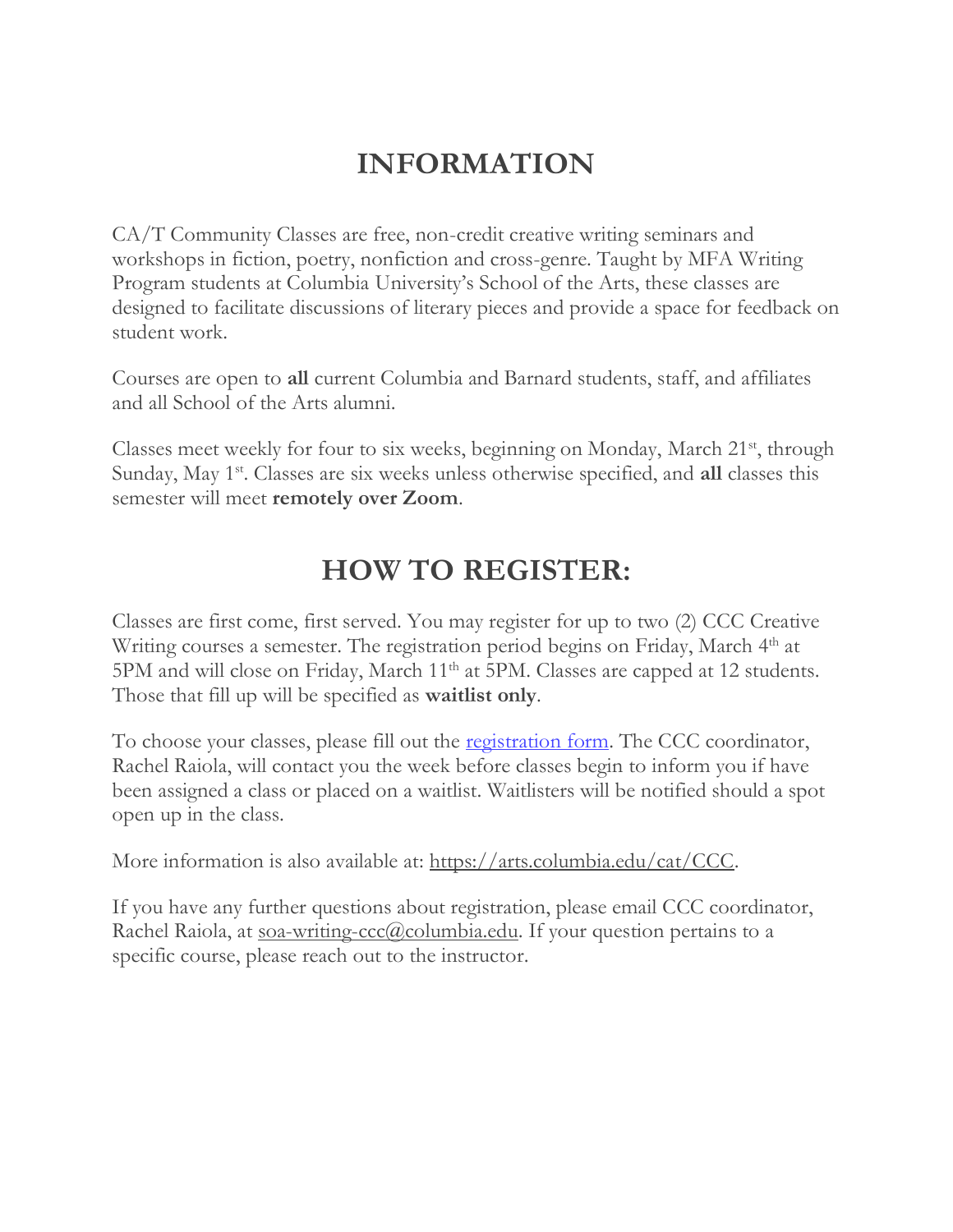# **INFORMATION**

CA/T Community Classes are free, non-credit creative writing seminars and workshops in fiction, poetry, nonfiction and cross-genre. Taught by MFA Writing Program students at Columbia University's School of the Arts, these classes are designed to facilitate discussions of literary pieces and provide a space for feedback on student work.

Courses are open to **all** current Columbia and Barnard students, staff, and affiliates and all School of the Arts alumni.

Classes meet weekly for four to six weeks, beginning on Monday, March 21<sup>st</sup>, through Sunday, May 1<sup>st</sup>. Classes are six weeks unless otherwise specified, and all classes this semester will meet **remotely over Zoom**.

# **HOW TO REGISTER:**

Classes are first come, first served. You may register for up to two (2) CCC Creative Writing courses a semester. The registration period begins on Friday, March 4<sup>th</sup> at 5PM and will close on Friday, March 11<sup>th</sup> at 5PM. Classes are capped at 12 students. Those that fill up will be specified as **waitlist only**.

To choose your classes, please fill out the <u>registration form</u>. The CCC coordinator, Rachel Raiola, will contact you the week before classes begin to inform you if have been assigned a class or placed on a waitlist. Waitlisters will be notified should a spot open up in the class.

More information is also available at: [https://arts.columbia.edu/cat/CCC.](https://arts.columbia.edu/cat/CCC)

If you have any further questions about registration, please email CCC coordinator, Rachel Raiola, at [soa-writing-ccc@columbia.edu.](mailto:soa-writing-ccc@columbia.edu) If your question pertains to a specific course, please reach out to the instructor.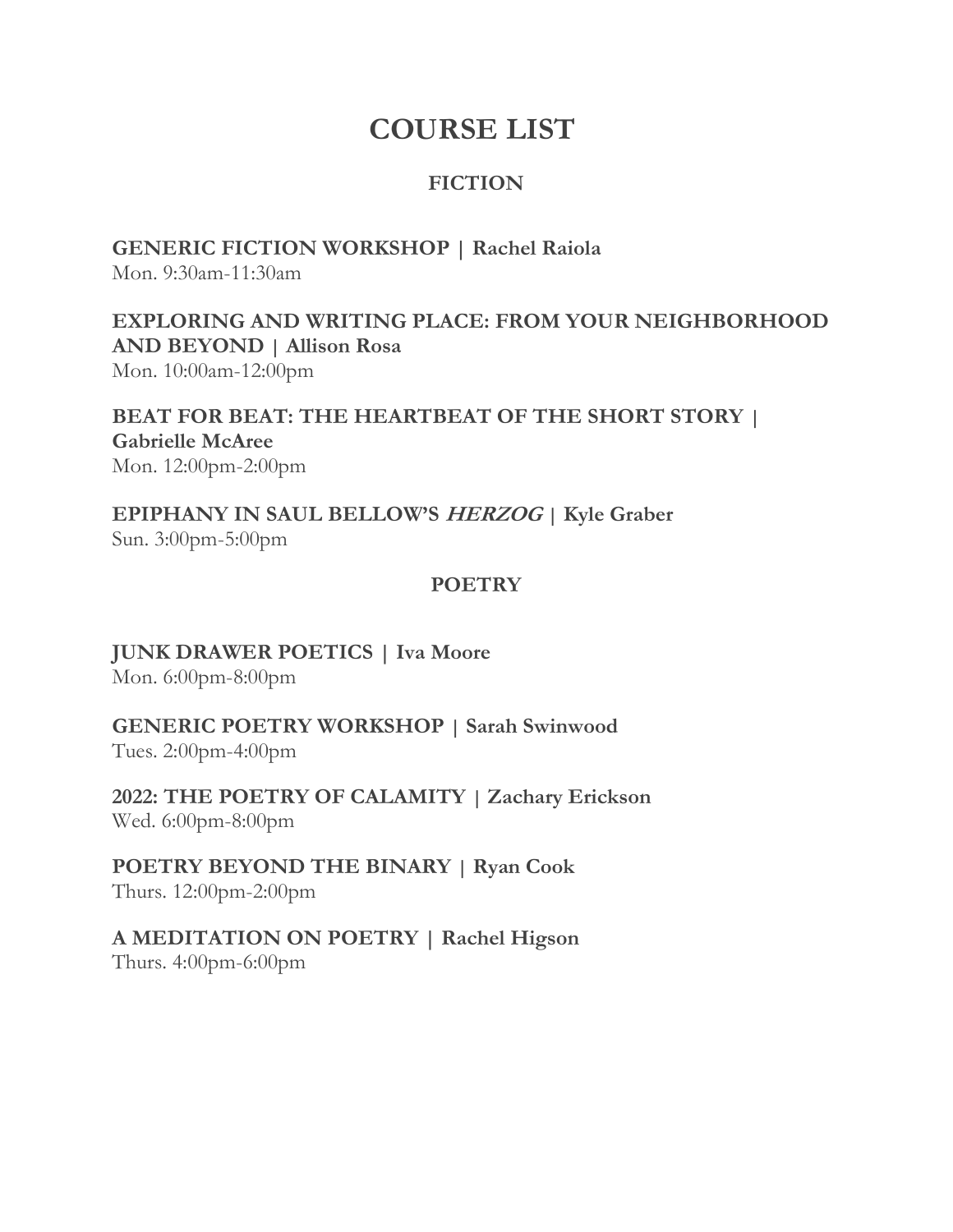# **COURSE LIST**

# **FICTION**

**GENERIC FICTION WORKSHOP | Rachel Raiola**

Mon. 9:30am-11:30am

**EXPLORING AND WRITING PLACE: FROM YOUR NEIGHBORHOOD AND BEYOND | Allison Rosa** Mon. 10:00am-12:00pm

**BEAT FOR BEAT: THE HEARTBEAT OF THE SHORT STORY | Gabrielle McAree** Mon. 12:00pm-2:00pm

**EPIPHANY IN SAUL BELLOW'S HERZOG | Kyle Graber** Sun. 3:00pm-5:00pm

### **POETRY**

**JUNK DRAWER POETICS | Iva Moore** Mon. 6:00pm-8:00pm

**GENERIC POETRY WORKSHOP | Sarah Swinwood** Tues. 2:00pm-4:00pm

**2022: THE POETRY OF CALAMITY | Zachary Erickson** Wed. 6:00pm-8:00pm

**POETRY BEYOND THE BINARY | Ryan Cook** Thurs. 12:00pm-2:00pm

**A MEDITATION ON POETRY | Rachel Higson** Thurs. 4:00pm-6:00pm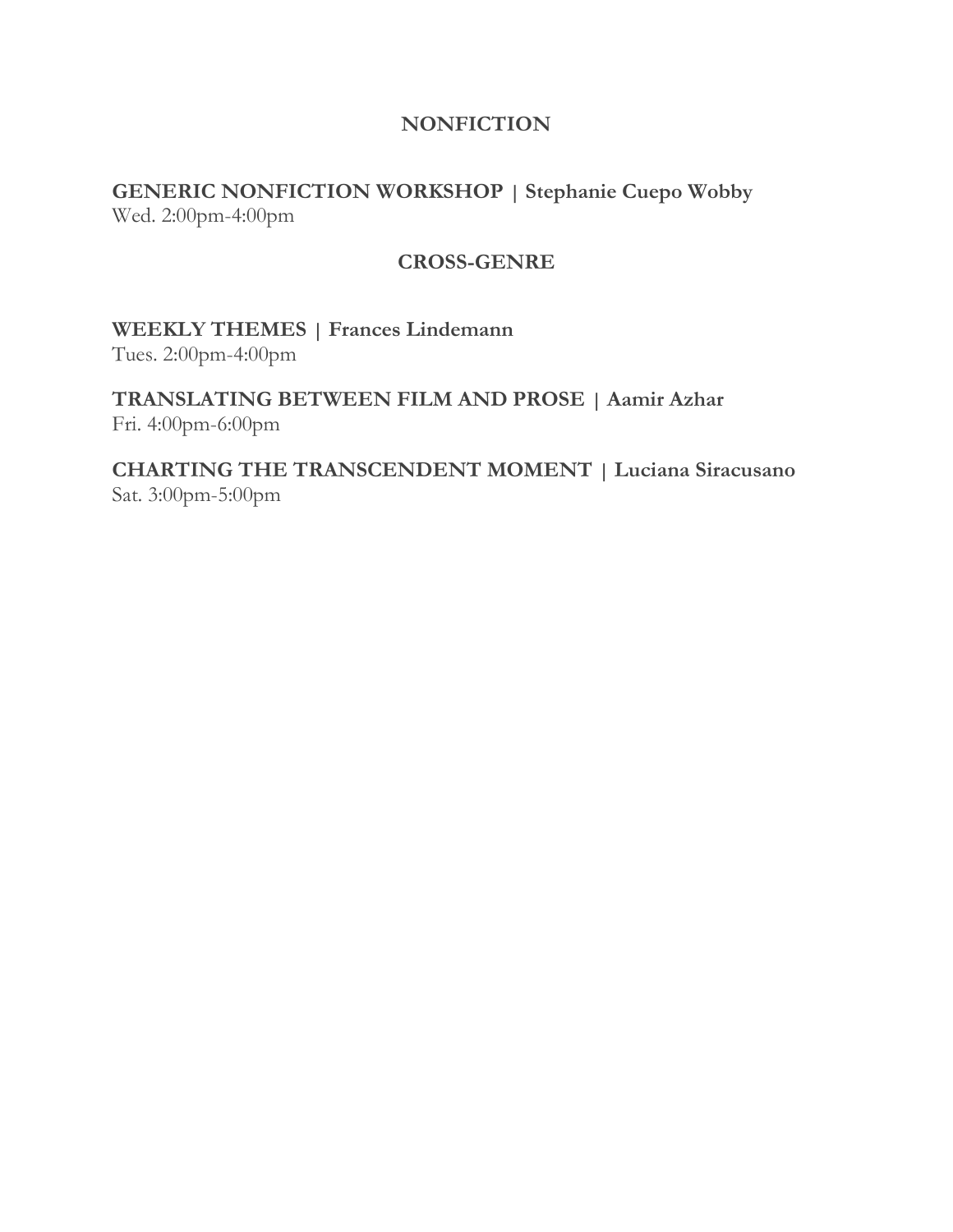### **NONFICTION**

**GENERIC NONFICTION WORKSHOP | Stephanie Cuepo Wobby** Wed. 2:00pm-4:00pm

#### **CROSS-GENRE**

**WEEKLY THEMES | Frances Lindemann**

Tues. 2:00pm-4:00pm

**TRANSLATING BETWEEN FILM AND PROSE | Aamir Azhar** Fri. 4:00pm-6:00pm

**CHARTING THE TRANSCENDENT MOMENT | Luciana Siracusano** Sat. 3:00pm-5:00pm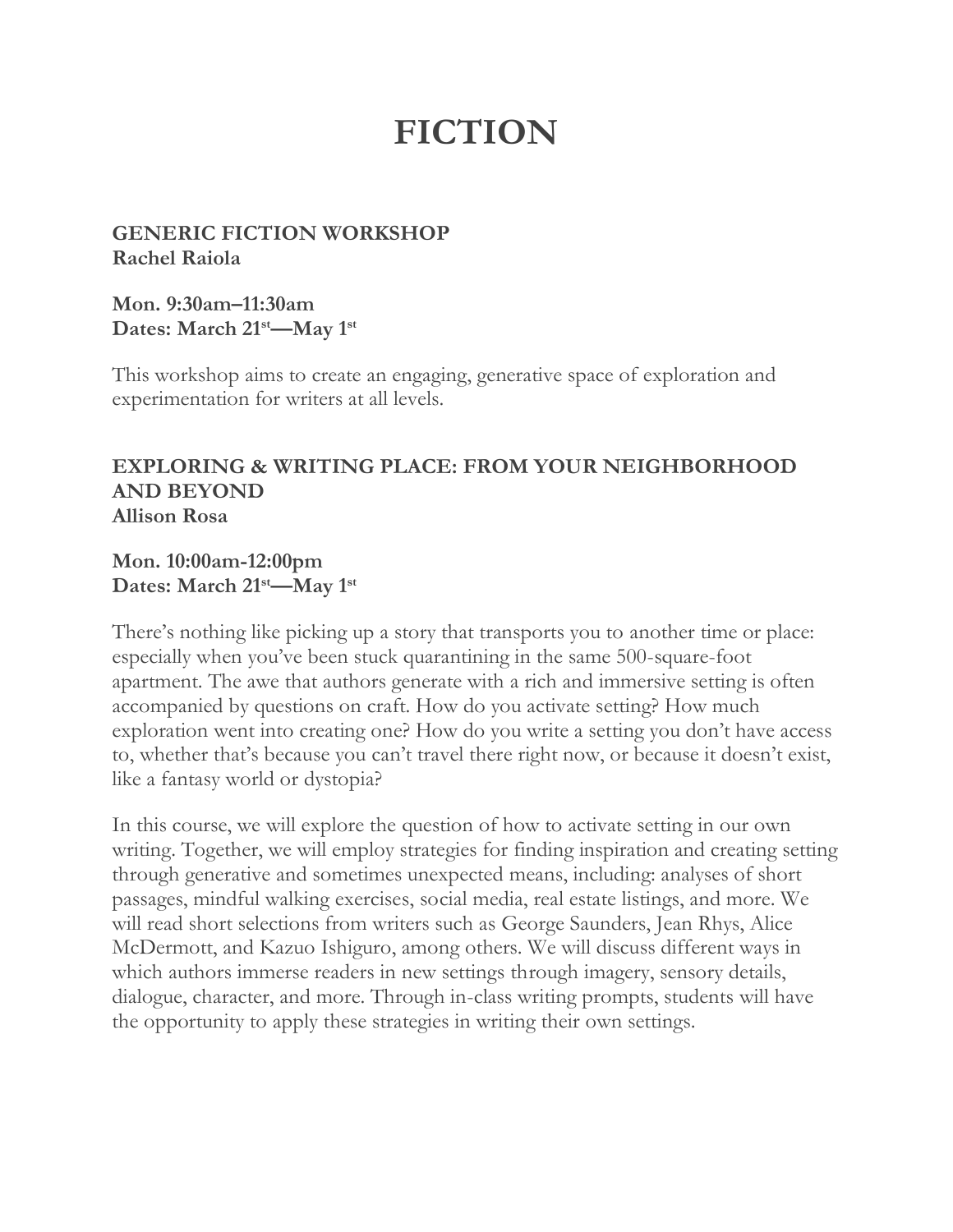# **FICTION**

**GENERIC FICTION WORKSHOP Rachel Raiola**

**Mon. 9:30am–11:30am Dates: March 21st—May 1st**

This workshop aims to create an engaging, generative space of exploration and experimentation for writers at all levels.

#### **EXPLORING & WRITING PLACE: FROM YOUR NEIGHBORHOOD AND BEYOND Allison Rosa**

#### **Mon. 10:00am-12:00pm Dates: March 21st—May 1st**

There's nothing like picking up a story that transports you to another time or place: especially when you've been stuck quarantining in the same 500-square-foot apartment. The awe that authors generate with a rich and immersive setting is often accompanied by questions on craft. How do you activate setting? How much exploration went into creating one? How do you write a setting you don't have access to, whether that's because you can't travel there right now, or because it doesn't exist, like a fantasy world or dystopia?

In this course, we will explore the question of how to activate setting in our own writing. Together, we will employ strategies for finding inspiration and creating setting through generative and sometimes unexpected means, including: analyses of short passages, mindful walking exercises, social media, real estate listings, and more. We will read short selections from writers such as George Saunders, Jean Rhys, Alice McDermott, and Kazuo Ishiguro, among others. We will discuss different ways in which authors immerse readers in new settings through imagery, sensory details, dialogue, character, and more. Through in-class writing prompts, students will have the opportunity to apply these strategies in writing their own settings.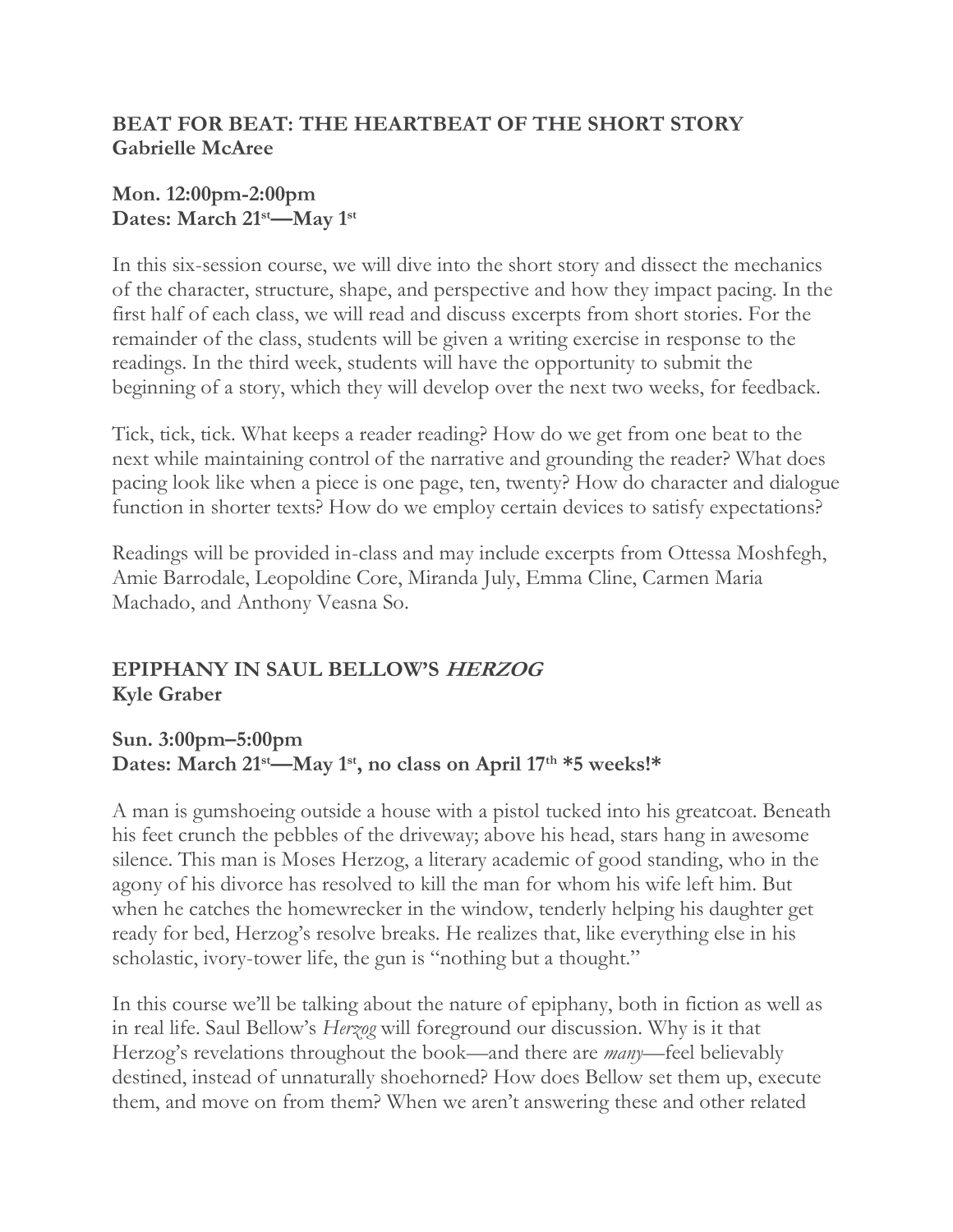## **BEAT FOR BEAT: THE HEARTBEAT OF THE SHORT STORY Gabrielle McAree**

#### **Mon. 12:00pm-2:00pm Dates: March 21st—May 1st**

In this six-session course, we will dive into the short story and dissect the mechanics of the character, structure, shape, and perspective and how they impact pacing. In the first half of each class, we will read and discuss excerpts from short stories. For the remainder of the class, students will be given a writing exercise in response to the readings. In the third week, students will have the opportunity to submit the beginning of a story, which they will develop over the next two weeks, for feedback.

Tick, tick, tick. What keeps a reader reading? How do we get from one beat to the next while maintaining control of the narrative and grounding the reader? What does pacing look like when a piece is one page, ten, twenty? How do character and dialogue function in shorter texts? How do we employ certain devices to satisfy expectations?

Readings will be provided in-class and may include excerpts from Ottessa Moshfegh, Amie Barrodale, Leopoldine Core, Miranda July, Emma Cline, Carmen Maria Machado, and Anthony Veasna So.

# **EPIPHANY IN SAUL BELLOW'S HERZOG Kyle Graber**

**Sun. 3:00pm–5:00pm Dates: March 21st—May 1st , no class on April 17th \*5 weeks!\***

A man is gumshoeing outside a house with a pistol tucked into his greatcoat. Beneath his feet crunch the pebbles of the driveway; above his head, stars hang in awesome silence. This man is Moses Herzog, a literary academic of good standing, who in the agony of his divorce has resolved to kill the man for whom his wife left him. But when he catches the homewrecker in the window, tenderly helping his daughter get ready for bed, Herzog's resolve breaks. He realizes that, like everything else in his scholastic, ivory-tower life, the gun is "nothing but a thought."

In this course we'll be talking about the nature of epiphany, both in fiction as well as in real life. Saul Bellow's *Herzog* will foreground our discussion. Why is it that Herzog's revelations throughout the book—and there are *many*—feel believably destined, instead of unnaturally shoehorned? How does Bellow set them up, execute them, and move on from them? When we aren't answering these and other related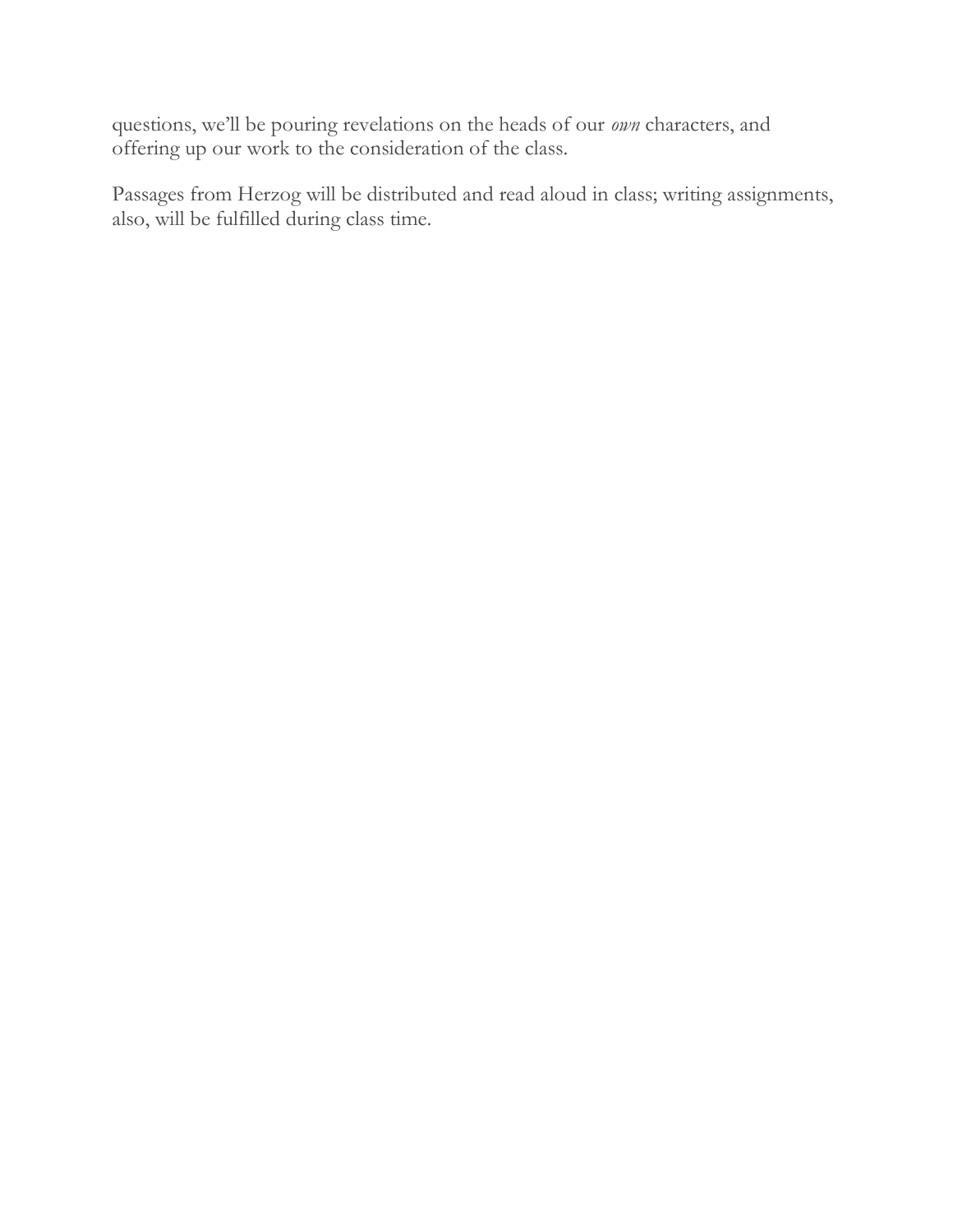questions, we'll be pouring revelations on the heads of our *own* characters, and offering up our work to the consideration of the class.

Passages from Herzog will be distributed and read aloud in class; writing assignments, also, will be fulfilled during class time.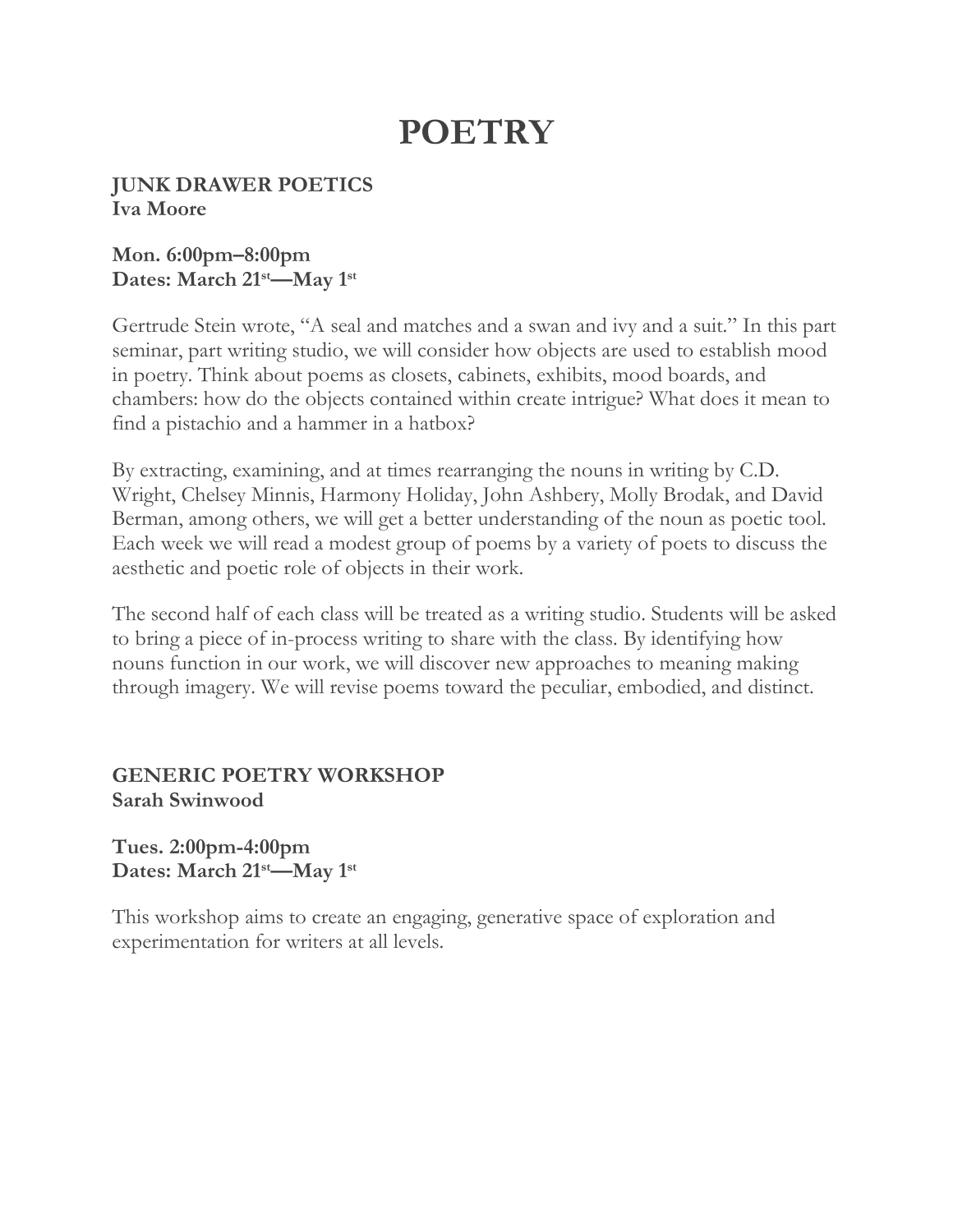# **POETRY**

#### **JUNK DRAWER POETICS Iva Moore**

#### **Mon. 6:00pm–8:00pm Dates: March 21st—May 1st**

Gertrude Stein wrote, "A seal and matches and a swan and ivy and a suit." In this part seminar, part writing studio, we will consider how objects are used to establish mood in poetry. Think about poems as closets, cabinets, exhibits, mood boards, and chambers: how do the objects contained within create intrigue? What does it mean to find a pistachio and a hammer in a hatbox?

By extracting, examining, and at times rearranging the nouns in writing by C.D. Wright, Chelsey Minnis, Harmony Holiday, John Ashbery, Molly Brodak, and David Berman, among others, we will get a better understanding of the noun as poetic tool. Each week we will read a modest group of poems by a variety of poets to discuss the aesthetic and poetic role of objects in their work.

The second half of each class will be treated as a writing studio. Students will be asked to bring a piece of in-process writing to share with the class. By identifying how nouns function in our work, we will discover new approaches to meaning making through imagery. We will revise poems toward the peculiar, embodied, and distinct.

#### **GENERIC POETRY WORKSHOP Sarah Swinwood**

#### **Tues. 2:00pm-4:00pm Dates: March 21st—May 1st**

This workshop aims to create an engaging, generative space of exploration and experimentation for writers at all levels.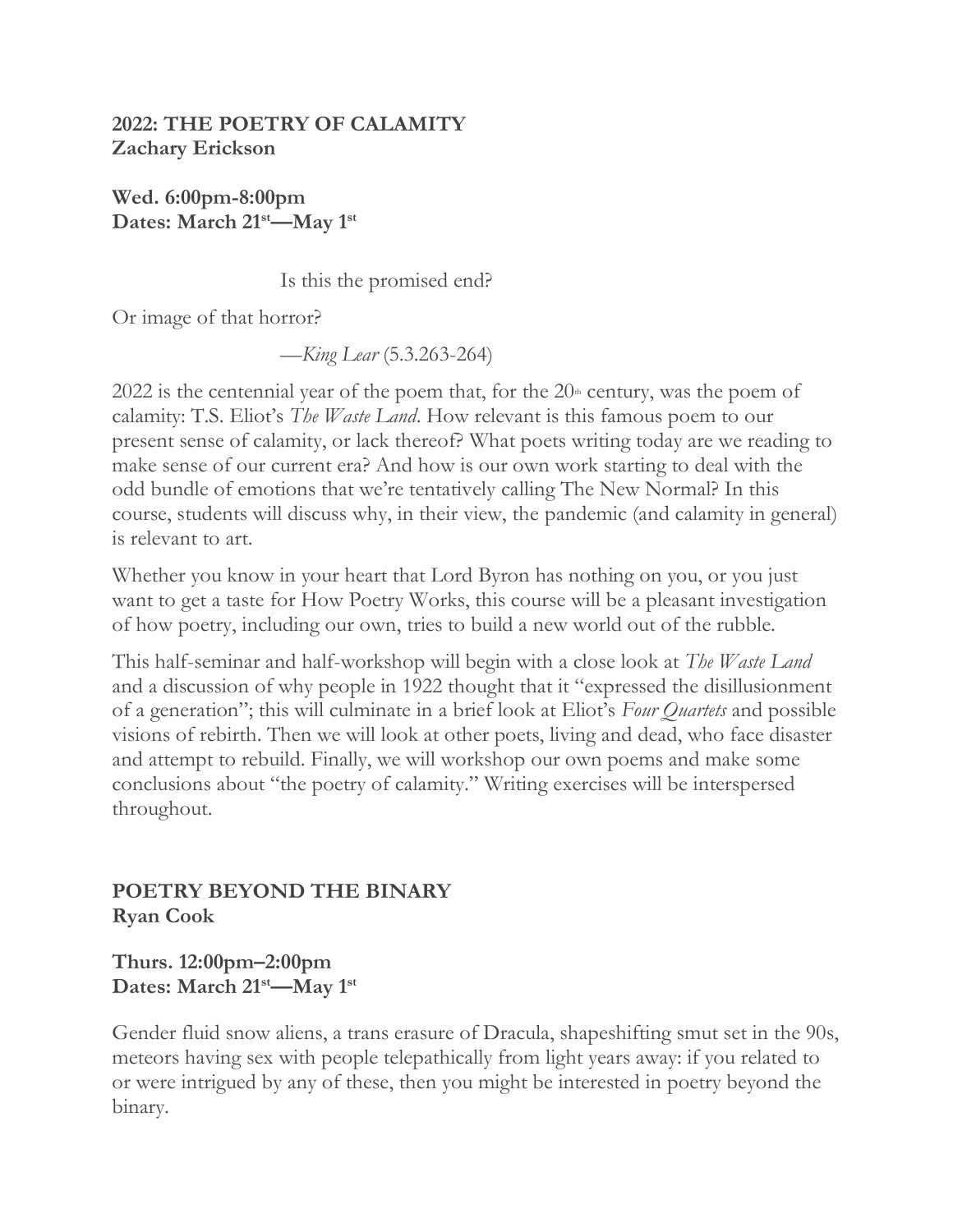### **2022: THE POETRY OF CALAMITY Zachary Erickson**

**Wed. 6:00pm-8:00pm Dates: March 21st—May 1st**

Is this the promised end?

Or image of that horror?

—*King Lear* (5.3.263-264)

2022 is the centennial year of the poem that, for the  $20<sup>th</sup>$  century, was the poem of calamity: T.S. Eliot's *The Waste Land*. How relevant is this famous poem to our present sense of calamity, or lack thereof? What poets writing today are we reading to make sense of our current era? And how is our own work starting to deal with the odd bundle of emotions that we're tentatively calling The New Normal? In this course, students will discuss why, in their view, the pandemic (and calamity in general) is relevant to art.

Whether you know in your heart that Lord Byron has nothing on you, or you just want to get a taste for How Poetry Works, this course will be a pleasant investigation of how poetry, including our own, tries to build a new world out of the rubble.

This half-seminar and half-workshop will begin with a close look at *The Waste Land*  and a discussion of why people in 1922 thought that it "expressed the disillusionment of a generation"; this will culminate in a brief look at Eliot's *Four Quartets* and possible visions of rebirth. Then we will look at other poets, living and dead, who face disaster and attempt to rebuild. Finally, we will workshop our own poems and make some conclusions about "the poetry of calamity." Writing exercises will be interspersed throughout.

## **POETRY BEYOND THE BINARY Ryan Cook**

**Thurs. 12:00pm–2:00pm Dates: March 21st—May 1st**

Gender fluid snow aliens, a trans erasure of Dracula, shapeshifting smut set in the 90s, meteors having sex with people telepathically from light years away: if you related to or were intrigued by any of these, then you might be interested in poetry beyond the binary.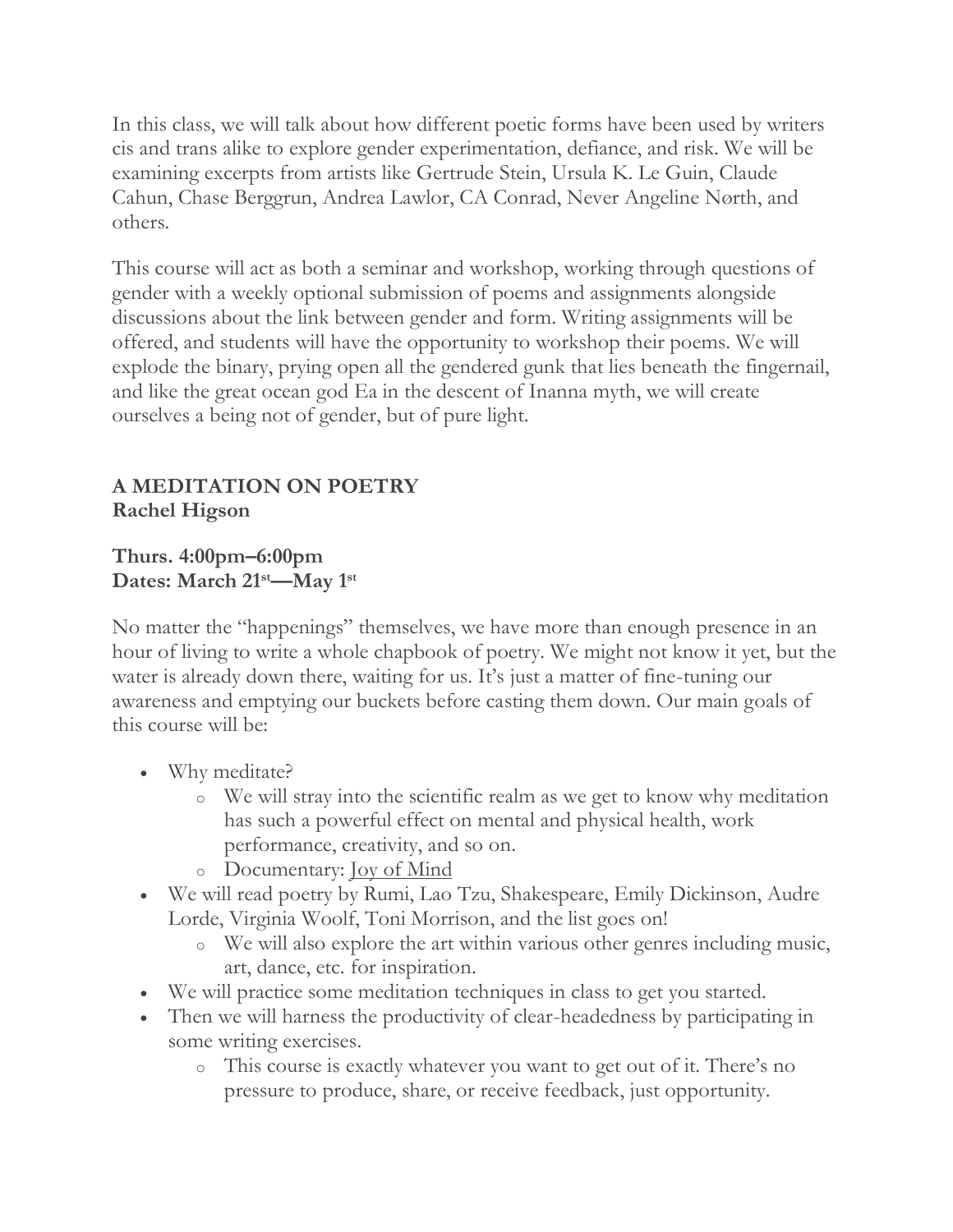In this class, we will talk about how different poetic forms have been used by writers cis and trans alike to explore gender experimentation, defiance, and risk. We will be examining excerpts from artists like Gertrude Stein, Ursula K. Le Guin, Claude Cahun, Chase Berggrun, Andrea Lawlor, CA Conrad, Never Angeline Nørth, and others.

This course will act as both a seminar and workshop, working through questions of gender with a weekly optional submission of poems and assignments alongside discussions about the link between gender and form. Writing assignments will be offered, and students will have the opportunity to workshop their poems. We will explode the binary, prying open all the gendered gunk that lies beneath the fingernail, and like the great ocean god Ea in the descent of Inanna myth, we will create ourselves a being not of gender, but of pure light.

## **A MEDITATION ON POETRY Rachel Higson**

**Thurs. 4:00pm–6:00pm Dates: March 21st—May 1st**

No matter the "happenings" themselves, we have more than enough presence in an hour of living to write a whole chapbook of poetry. We might not know it yet, but the water is already down there, waiting for us. It's just a matter of fine-tuning our awareness and emptying our buckets before casting them down. Our main goals of this course will be:

- Why meditate?
	- o We will stray into the scientific realm as we get to know why meditation has such a powerful effect on mental and physical health, work performance, creativity, and so on.
	- o Documentary: <u>Joy of Mind</u>
- We will read poetry by Rumi, Lao Tzu, Shakespeare, Emily Dickinson, Audre Lorde, Virginia Woolf, Toni Morrison, and the list goes on!
	- o We will also explore the art within various other genres including music, art, dance, etc. for inspiration.
- We will practice some meditation techniques in class to get you started.
- Then we will harness the productivity of clear-headedness by participating in some writing exercises.
	- o This course is exactly whatever you want to get out of it. There's no pressure to produce, share, or receive feedback, just opportunity.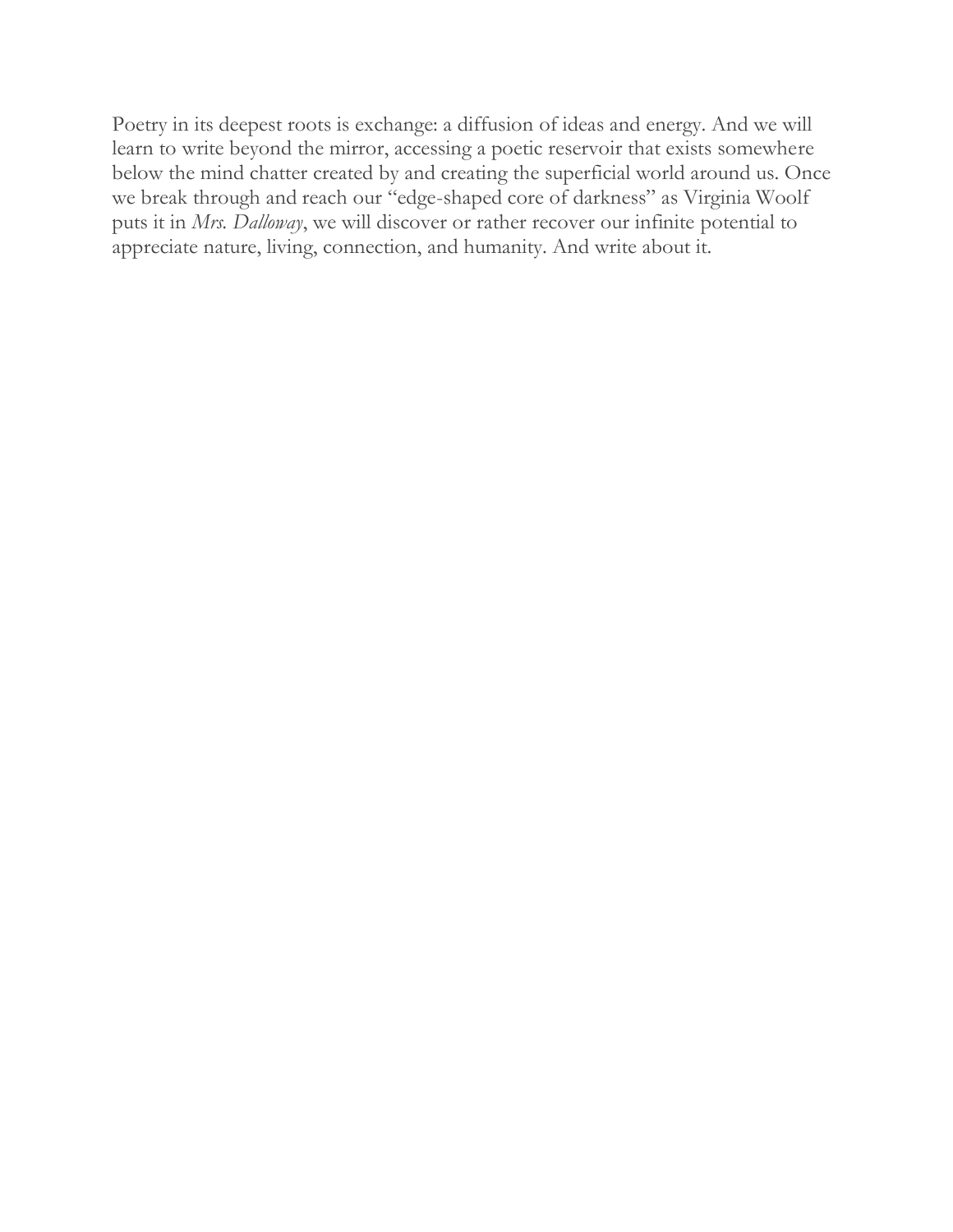Poetry in its deepest roots is exchange: a diffusion of ideas and energy. And we will learn to write beyond the mirror, accessing a poetic reservoir that exists somewhere below the mind chatter created by and creating the superficial world around us. Once we break through and reach our "edge-shaped core of darkness" as Virginia Woolf puts it in *Mrs. Dalloway*, we will discover or rather recover our infinite potential to appreciate nature, living, connection, and humanity. And write about it.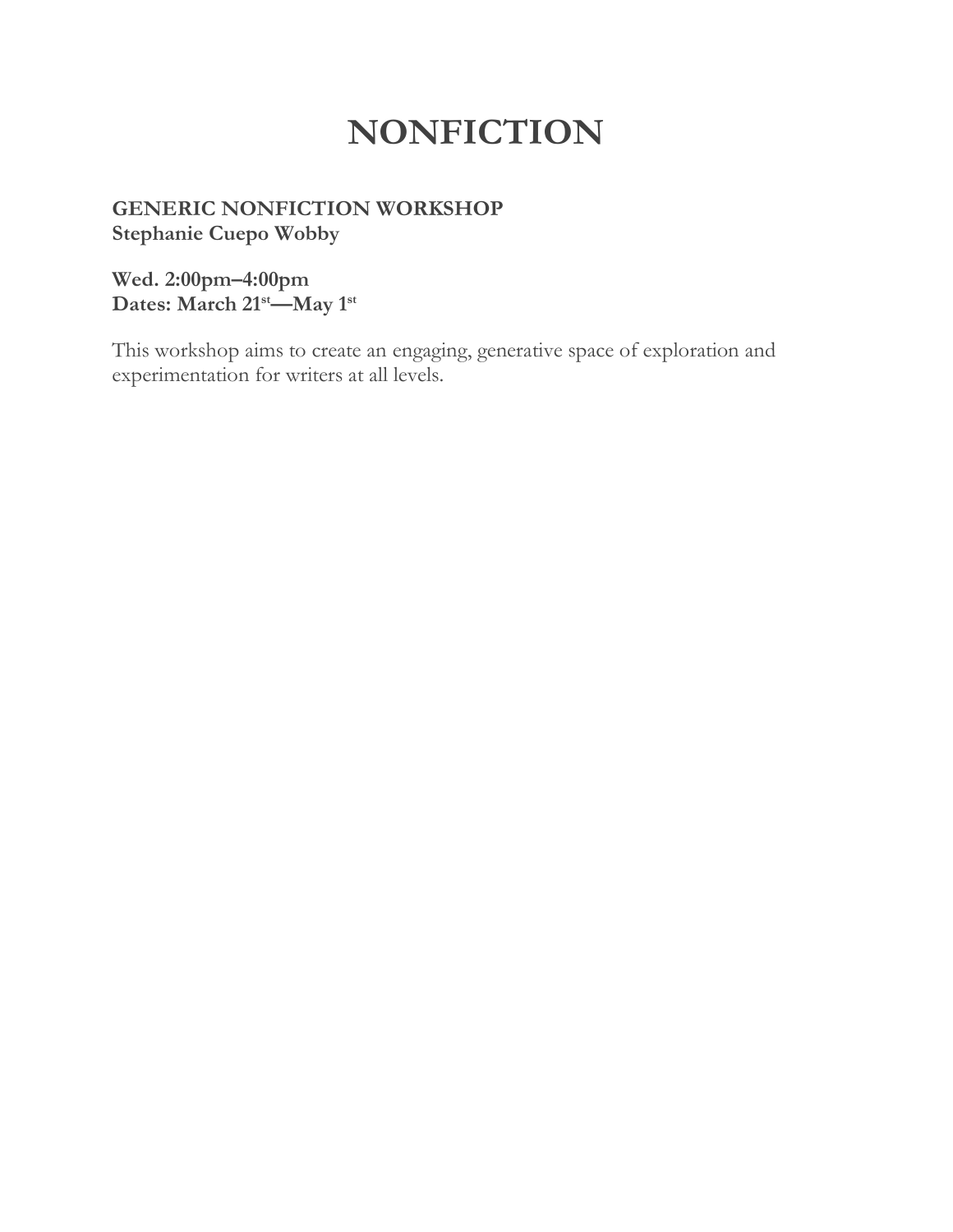# **NONFICTION**

## **GENERIC NONFICTION WORKSHOP Stephanie Cuepo Wobby**

**Wed. 2:00pm–4:00pm Dates: March 21st—May 1st**

This workshop aims to create an engaging, generative space of exploration and experimentation for writers at all levels.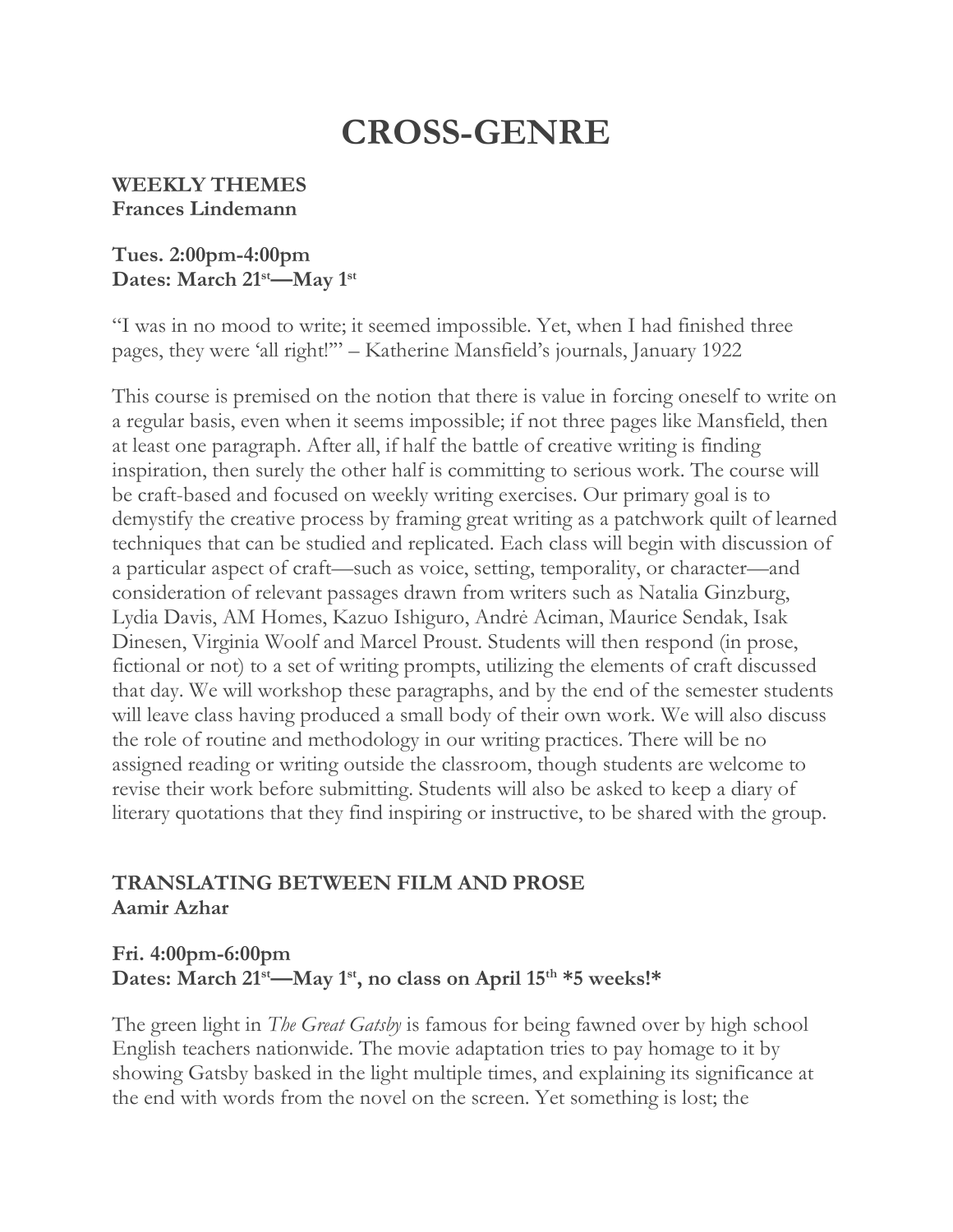# **CROSS-GENRE**

#### **WEEKLY THEMES Frances Lindemann**

#### **Tues. 2:00pm-4:00pm Dates: March 21st—May 1st**

"I was in no mood to write; it seemed impossible. Yet, when I had finished three pages, they were 'all right!'" – Katherine Mansfield's journals, January 1922

This course is premised on the notion that there is value in forcing oneself to write on a regular basis, even when it seems impossible; if not three pages like Mansfield, then at least one paragraph. After all, if half the battle of creative writing is finding inspiration, then surely the other half is committing to serious work. The course will be craft-based and focused on weekly writing exercises. Our primary goal is to demystify the creative process by framing great writing as a patchwork quilt of learned techniques that can be studied and replicated. Each class will begin with discussion of a particular aspect of craft—such as voice, setting, temporality, or character—and consideration of relevant passages drawn from writers such as Natalia Ginzburg, Lydia Davis, AM Homes, Kazuo Ishiguro, Andrė Aciman, Maurice Sendak, Isak Dinesen, Virginia Woolf and Marcel Proust. Students will then respond (in prose, fictional or not) to a set of writing prompts, utilizing the elements of craft discussed that day. We will workshop these paragraphs, and by the end of the semester students will leave class having produced a small body of their own work. We will also discuss the role of routine and methodology in our writing practices. There will be no assigned reading or writing outside the classroom, though students are welcome to revise their work before submitting. Students will also be asked to keep a diary of literary quotations that they find inspiring or instructive, to be shared with the group.

## **TRANSLATING BETWEEN FILM AND PROSE Aamir Azhar**

### **Fri. 4:00pm-6:00pm Dates: March 21st—May 1st, no class on April 15th \*5 weeks!\***

The green light in *The Great Gatsby* is famous for being fawned over by high school English teachers nationwide. The movie adaptation tries to pay homage to it by showing Gatsby basked in the light multiple times, and explaining its significance at the end with words from the novel on the screen. Yet something is lost; the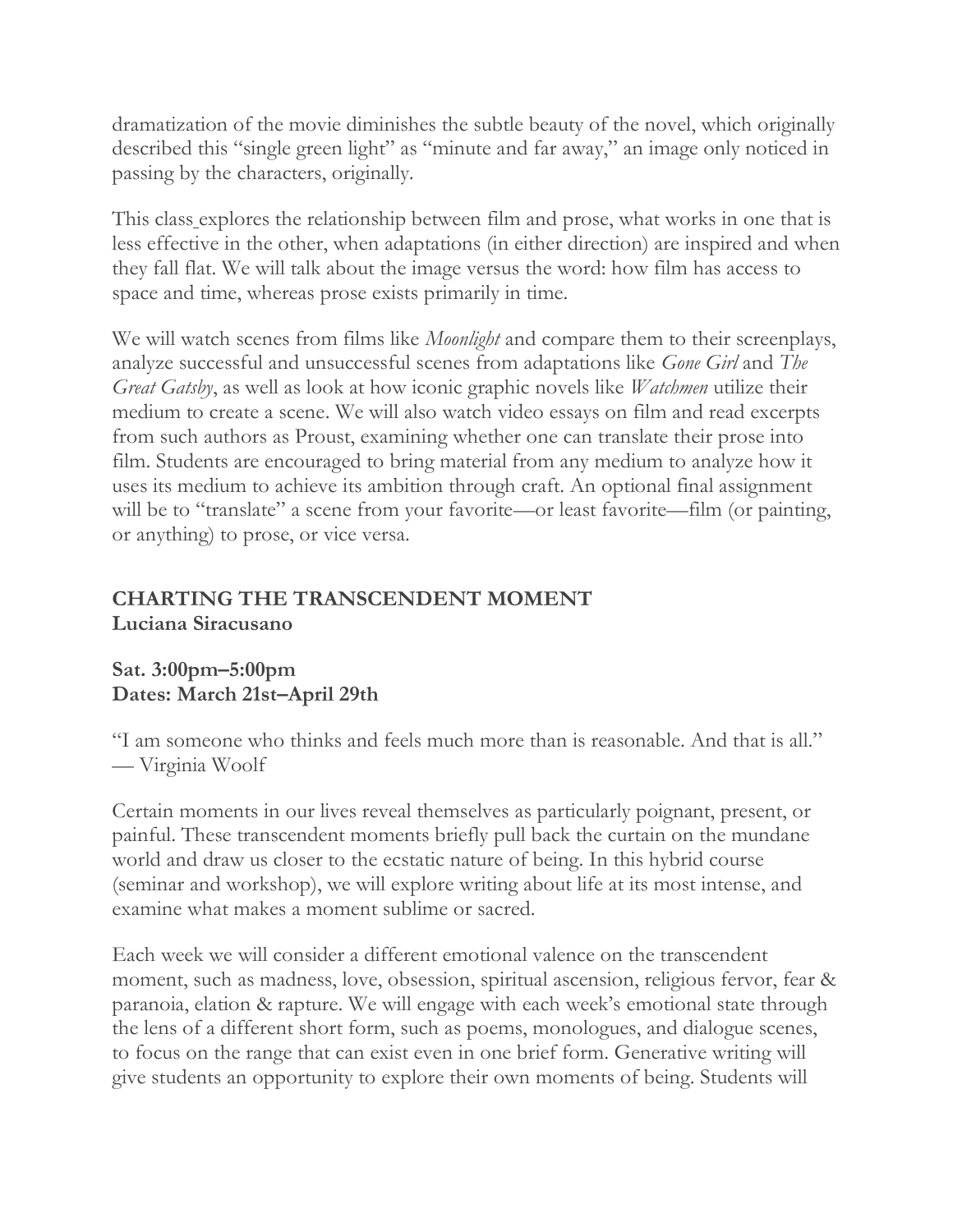dramatization of the movie diminishes the subtle beauty of the novel, which originally described this "single green light" as "minute and far away," an image only noticed in passing by the characters, originally.

This class explores the relationship between film and prose, what works in one that is less effective in the other, when adaptations (in either direction) are inspired and when they fall flat. We will talk about the image versus the word: how film has access to space and time, whereas prose exists primarily in time.

We will watch scenes from films like *Moonlight* and compare them to their screenplays, analyze successful and unsuccessful scenes from adaptations like *Gone Girl* and *The Great Gatsby*, as well as look at how iconic graphic novels like *Watchmen* utilize their medium to create a scene. We will also watch video essays on film and read excerpts from such authors as Proust, examining whether one can translate their prose into film. Students are encouraged to bring material from any medium to analyze how it uses its medium to achieve its ambition through craft. An optional final assignment will be to "translate" a scene from your favorite—or least favorite—film (or painting, or anything) to prose, or vice versa.

### **CHARTING THE TRANSCENDENT MOMENT Luciana Siracusano**

#### **Sat. 3:00pm–5:00pm Dates: March 21st–April 29th**

"I am someone who thinks and feels much more than is reasonable. And that is all." — Virginia Woolf

Certain moments in our lives reveal themselves as particularly poignant, present, or painful. These transcendent moments briefly pull back the curtain on the mundane world and draw us closer to the ecstatic nature of being. In this hybrid course (seminar and workshop), we will explore writing about life at its most intense, and examine what makes a moment sublime or sacred.

Each week we will consider a different emotional valence on the transcendent moment, such as madness, love, obsession, spiritual ascension, religious fervor, fear & paranoia, elation & rapture. We will engage with each week's emotional state through the lens of a different short form, such as poems, monologues, and dialogue scenes, to focus on the range that can exist even in one brief form. Generative writing will give students an opportunity to explore their own moments of being. Students will